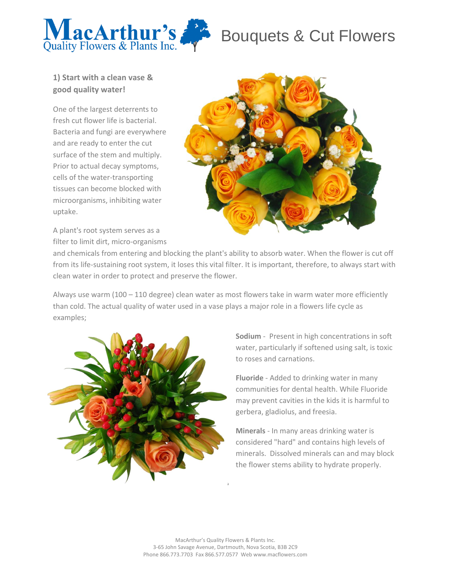

## Bouquets & Cut Flowers

### **1) Start with a clean vase & good quality water!**

One of the largest deterrents to fresh cut flower life is bacterial. Bacteria and fungi are everywhere and are ready to enter the cut surface of the stem and multiply. Prior to actual decay symptoms, cells of the water-transporting tissues can become blocked with microorganisms, inhibiting water uptake.

A plant's root system serves as a filter to limit dirt, micro-organisms



and chemicals from entering and blocking the plant's ability to absorb water. When the flower is cut off from its life-sustaining root system, it loses this vital filter. It is important, therefore, to always start with clean water in order to protect and preserve the flower.

Always use warm (100 – 110 degree) clean water as most flowers take in warm water more efficiently than cold. The actual quality of water used in a vase plays a major role in a flowers life cycle as examples;



**Sodium** - Present in high concentrations in soft water, particularly if softened using salt, is toxic to roses and carnations.

**Fluoride** - Added to drinking water in many communities for dental health. While Fluoride may prevent cavities in the kids it is harmful to gerbera, gladiolus, and freesia.

**Minerals** - In many areas drinking water is considered "hard" and contains high levels of minerals. Dissolved minerals can and may block the flower stems ability to hydrate properly.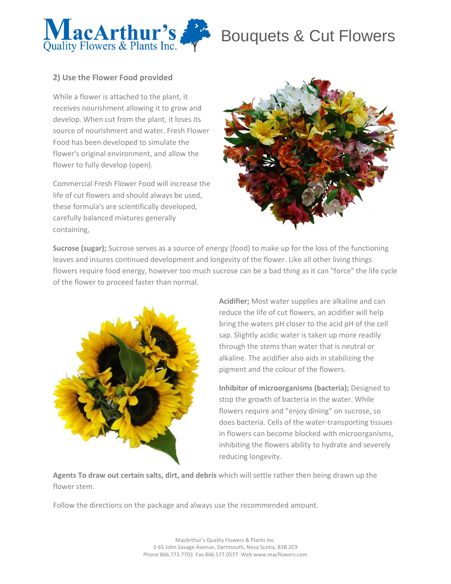

# Bouquets & Cut Flowers

### **2) Use the Flower Food provided**

While a flower is attached to the plant, it receives nourishment allowing it to grow and develop. When cut from the plant, it loses its source of nourishment and water. Fresh Flower Food has been developed to simulate the flower's original environment, and allow the flower to fully develop (open).

Commercial Fresh Flower Food will increase the life of cut flowers and should always be used, these formula's are scientifically developed, carefully balanced mixtures generally containing,



**Sucrose (sugar);** Sucrose serves as a source of energy (food) to make up for the loss of the functioning leaves and insures continued development and longevity of the flower. Like all other living things flowers require food energy, however too much sucrose can be a bad thing as it can "force" the life cycle of the flower to proceed faster than normal.



**Acidifier;** Most water supplies are alkaline and can reduce the life of cut flowers, an acidifier will help bring the waters pH closer to the acid pH of the cell sap. Slightly acidic water is taken up more readily through the stems than water that is neutral or alkaline. The acidifier also aids in stabilizing the pigment and the colour of the flowers.

**Inhibitor of microorganisms (bacteria);** Designed to stop the growth of bacteria in the water. While flowers require and "enjoy dining" on sucrose, so does bacteria. Cells of the water-transporting tissues in flowers can become blocked with microorganisms, inhibiting the flowers ability to hydrate and severely reducing longevity.

**Agents To draw out certain salts, dirt, and debris** which will settle rather then being drawn up the flower stem.

Follow the directions on the package and always use the recommended amount.